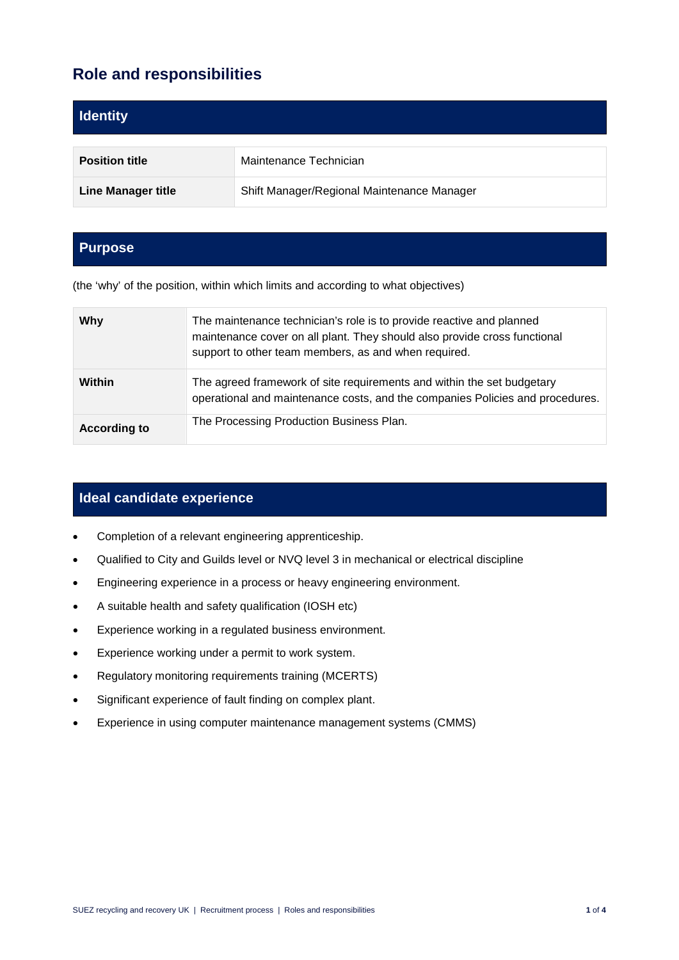# **Role and responsibilities**

| <b>Identity</b>           |                                            |
|---------------------------|--------------------------------------------|
| <b>Position title</b>     | Maintenance Technician                     |
| <b>Line Manager title</b> | Shift Manager/Regional Maintenance Manager |

### **Purpose**

(the 'why' of the position, within which limits and according to what objectives)

| Why                 | The maintenance technician's role is to provide reactive and planned<br>maintenance cover on all plant. They should also provide cross functional<br>support to other team members, as and when required. |
|---------------------|-----------------------------------------------------------------------------------------------------------------------------------------------------------------------------------------------------------|
| Within              | The agreed framework of site requirements and within the set budgetary<br>operational and maintenance costs, and the companies Policies and procedures.                                                   |
| <b>According to</b> | The Processing Production Business Plan.                                                                                                                                                                  |

### **Ideal candidate experience**

- Completion of a relevant engineering apprenticeship.
- Qualified to City and Guilds level or NVQ level 3 in mechanical or electrical discipline
- Engineering experience in a process or heavy engineering environment.
- A suitable health and safety qualification (IOSH etc)
- Experience working in a regulated business environment.
- Experience working under a permit to work system.
- Regulatory monitoring requirements training (MCERTS)
- Significant experience of fault finding on complex plant.
- Experience in using computer maintenance management systems (CMMS)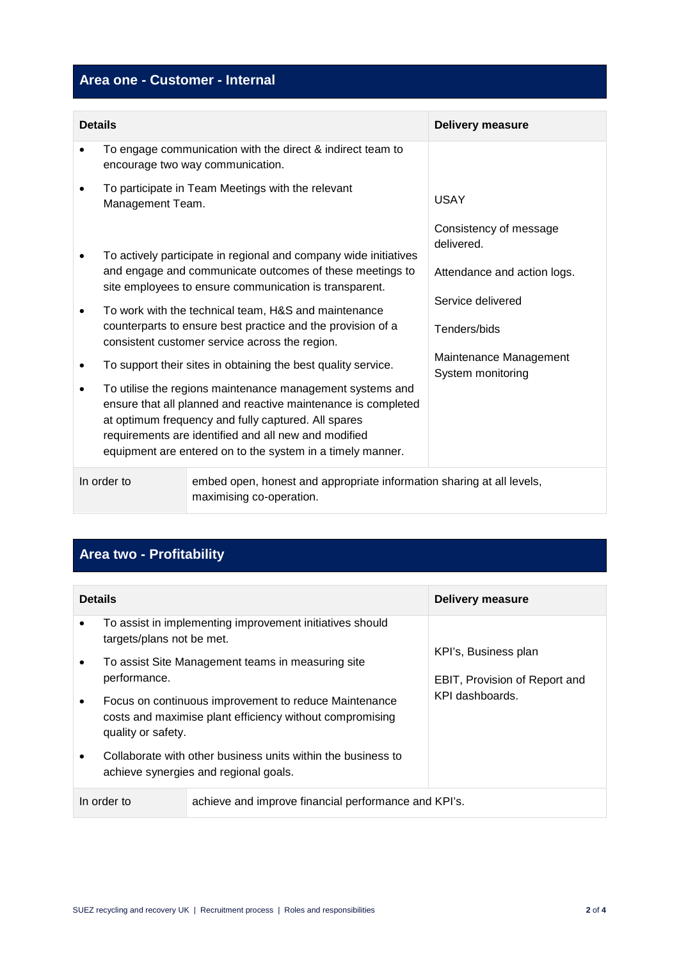## **Area one - Customer - Internal**

| <b>Details</b> |                  |                                                                                                                                                                                                                                                                                                                                                                                                                                                                                                                                                                                                                                                                                                                                             | <b>Delivery measure</b>                                                                                                                                 |
|----------------|------------------|---------------------------------------------------------------------------------------------------------------------------------------------------------------------------------------------------------------------------------------------------------------------------------------------------------------------------------------------------------------------------------------------------------------------------------------------------------------------------------------------------------------------------------------------------------------------------------------------------------------------------------------------------------------------------------------------------------------------------------------------|---------------------------------------------------------------------------------------------------------------------------------------------------------|
|                |                  | To engage communication with the direct & indirect team to<br>encourage two way communication.                                                                                                                                                                                                                                                                                                                                                                                                                                                                                                                                                                                                                                              |                                                                                                                                                         |
|                | Management Team. | To participate in Team Meetings with the relevant                                                                                                                                                                                                                                                                                                                                                                                                                                                                                                                                                                                                                                                                                           | USAY                                                                                                                                                    |
|                |                  | To actively participate in regional and company wide initiatives<br>and engage and communicate outcomes of these meetings to<br>site employees to ensure communication is transparent.<br>To work with the technical team, H&S and maintenance<br>counterparts to ensure best practice and the provision of a<br>consistent customer service across the region.<br>To support their sites in obtaining the best quality service.<br>To utilise the regions maintenance management systems and<br>ensure that all planned and reactive maintenance is completed<br>at optimum frequency and fully captured. All spares<br>requirements are identified and all new and modified<br>equipment are entered on to the system in a timely manner. | Consistency of message<br>delivered.<br>Attendance and action logs.<br>Service delivered<br>Tenders/bids<br>Maintenance Management<br>System monitoring |
|                | In order to      | embed open, honest and appropriate information sharing at all levels,<br>maximising co-operation.                                                                                                                                                                                                                                                                                                                                                                                                                                                                                                                                                                                                                                           |                                                                                                                                                         |

# **Area two - Profitability**

| <b>Details</b>                                                      |                           |                                                                                                                   | <b>Delivery measure</b>                               |  |
|---------------------------------------------------------------------|---------------------------|-------------------------------------------------------------------------------------------------------------------|-------------------------------------------------------|--|
| $\bullet$                                                           | targets/plans not be met. | To assist in implementing improvement initiatives should                                                          |                                                       |  |
| $\bullet$                                                           | performance.              | To assist Site Management teams in measuring site                                                                 | KPI's, Business plan<br>EBIT, Provision of Report and |  |
|                                                                     | quality or safety.        | Focus on continuous improvement to reduce Maintenance<br>costs and maximise plant efficiency without compromising | KPI dashboards.                                       |  |
|                                                                     |                           | Collaborate with other business units within the business to<br>achieve synergies and regional goals.             |                                                       |  |
| In order to<br>achieve and improve financial performance and KPI's. |                           |                                                                                                                   |                                                       |  |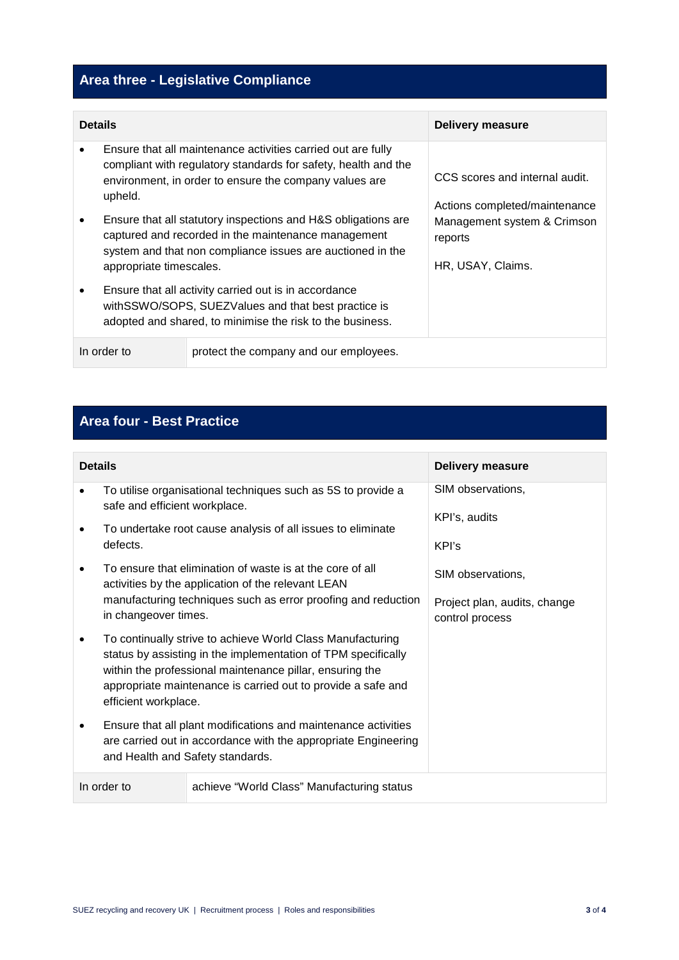# **Area three - Legislative Compliance**

| <b>Details</b>                                        |                                                                                                                                                                            |                                                                                                                                                                                          | <b>Delivery measure</b>                                         |  |
|-------------------------------------------------------|----------------------------------------------------------------------------------------------------------------------------------------------------------------------------|------------------------------------------------------------------------------------------------------------------------------------------------------------------------------------------|-----------------------------------------------------------------|--|
|                                                       | upheld.                                                                                                                                                                    | Ensure that all maintenance activities carried out are fully<br>compliant with regulatory standards for safety, health and the<br>environment, in order to ensure the company values are | CCS scores and internal audit.<br>Actions completed/maintenance |  |
|                                                       | appropriate timescales.                                                                                                                                                    | Ensure that all statutory inspections and H&S obligations are<br>captured and recorded in the maintenance management<br>system and that non compliance issues are auctioned in the       | Management system & Crimson<br>reports<br>HR, USAY, Claims.     |  |
|                                                       | Ensure that all activity carried out is in accordance<br>with SSWO/SOPS, SUEZValues and that best practice is<br>adopted and shared, to minimise the risk to the business. |                                                                                                                                                                                          |                                                                 |  |
| In order to<br>protect the company and our employees. |                                                                                                                                                                            |                                                                                                                                                                                          |                                                                 |  |

## **Area four - Best Practice**

| <b>Details</b> |                                                                                                                                                                                                                                                                                 |                                                                                                                 | <b>Delivery measure</b>                         |
|----------------|---------------------------------------------------------------------------------------------------------------------------------------------------------------------------------------------------------------------------------------------------------------------------------|-----------------------------------------------------------------------------------------------------------------|-------------------------------------------------|
|                | safe and efficient workplace.                                                                                                                                                                                                                                                   | To utilise organisational techniques such as 5S to provide a                                                    | SIM observations,                               |
|                | defects.                                                                                                                                                                                                                                                                        | To undertake root cause analysis of all issues to eliminate                                                     | KPI's, audits<br>KPI's                          |
|                |                                                                                                                                                                                                                                                                                 | To ensure that elimination of waste is at the core of all<br>activities by the application of the relevant LEAN | SIM observations,                               |
|                | in changeover times.                                                                                                                                                                                                                                                            | manufacturing techniques such as error proofing and reduction                                                   | Project plan, audits, change<br>control process |
|                | To continually strive to achieve World Class Manufacturing<br>status by assisting in the implementation of TPM specifically<br>within the professional maintenance pillar, ensuring the<br>appropriate maintenance is carried out to provide a safe and<br>efficient workplace. |                                                                                                                 |                                                 |
|                | Ensure that all plant modifications and maintenance activities<br>are carried out in accordance with the appropriate Engineering<br>and Health and Safety standards.                                                                                                            |                                                                                                                 |                                                 |
|                | In order to                                                                                                                                                                                                                                                                     | achieve "World Class" Manufacturing status                                                                      |                                                 |